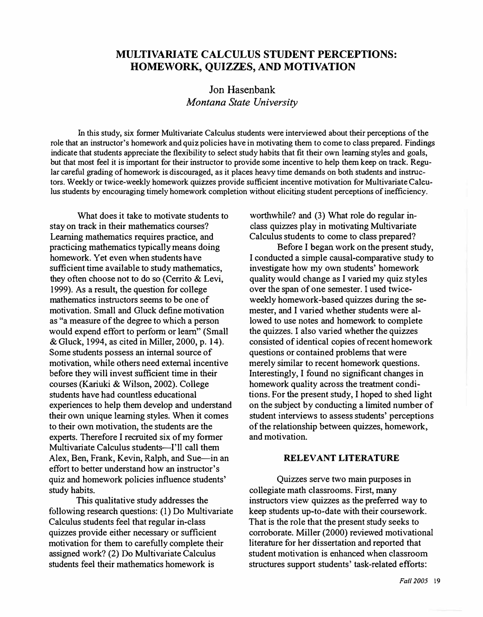# **MULTIVARIATE CALCULUS STUDENT PERCEPTIONS: HOMEWORK, QUIZZES, AND MOTIVATION**

# Jon Hasenbank *Montana State University*

In this study, six former Multivariate Calculus students were interviewed about their perceptions of the role that an instructor's homework and quiz policies have in motivating them to come to class prepared. Findings indicate that students appreciate the flexibility to select study habits that fit their own learning styles and goals, but that most feel it is important for their instructor to provide some incentive to help them keep on track. Regular careful grading of homework is discouraged, as it places heavy time demands on both students and instructors. Weekly or twice-weekly homework quizzes provide sufficient incentive motivation for Multivariate Calculus students by encouraging timely homework completion without eliciting student perceptions of inefficiency.

What does it take to motivate students to stay on track in their mathematics courses? Learning mathematics requires practice, and practicing mathematics typically means doing homework. Yet even when students have sufficient time available to study mathematics, they often choose not to do so (Cerrito & Levi, 1999). As a result, the question for college mathematics instructors seems to be one of motivation. Small and Gluck define motivation as "a measure of the degree to which a person would expend effort to perform or learn" (Small & Gluck, 1994, as cited in Miller, 2000, p. 14). Some students possess an internal source of motivation, while others need external incentive before they will invest sufficient time in their courses (Kariuki & Wilson, 2002). College students have had countless educational experiences to help them develop and understand their own unique learning styles. When it comes to their own motivation, the students are the experts. Therefore I recruited six of my former Multivariate Calculus students-I'll call them Alex, Ben, Frank, Kevin, Ralph, and Sue—in an effort to better understand how an instructor's quiz and homework policies influence students' study habits.

This qualitative study addresses the following research questions: (I) Do Multivariate Calculus students feel that regular in-class quizzes provide either necessary or sufficient motivation for them to carefully complete their assigned work? (2) Do Multivariate Calculus students feel their mathematics homework is

worthwhile? and (3) What role do regular inclass quizzes play in motivating Multivariate Calculus students to come to class prepared?

Before I began work on the present study, I conducted a simple causal-comparative study to investigate how my own students' homework quality would change as I varied my quiz styles over the span of one semester. I used twiceweekly homework-based quizzes during the semester, and I varied whether students were allowed to use notes and homework to complete the quizzes. I also varied whether the quizzes consisted of identical copies of recent homework questions or contained problems that were merely similar to recent homework questions. Interestingly, I found no significant changes in homework quality across the treatment conditions. For the present study, I hoped to shed light on the subject by conducting a limited number of student interviews to assess students' perceptions of the relationship between quizzes, homework, and motivation.

#### **RELEVANT LITERATURE**

Quizzes serve two main purposes in collegiate math classrooms. First, many instructors view quizzes as the preferred way to keep students up-to-date with their coursework. That is the role that the present study seeks to corroborate. Miller (2000) reviewed motivational literature for her dissertation and reported that student motivation is enhanced when classroom structures support students' task-related efforts: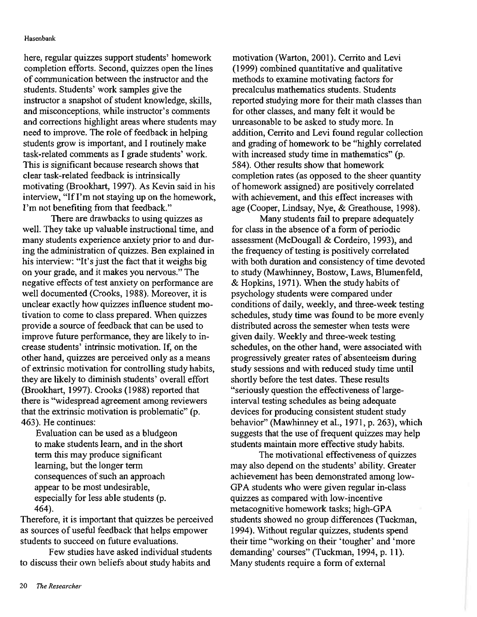here, regular quizzes support students' homework completion efforts. Second, quizzes open the lines of communication between the instructor and the students. Students' work samples give the instructor a snapshot of student knowledge, skills, and misconceptions, while instructor's comments and corrections highlight areas where students may need to improve. The role of feedback in helping students grow is important, and I routinely make task-related comments as I grade students' work. This is significant because research shows that clear task-related feedback is intrinsically motivating (Brookhart, 1997). As Kevin said in his interview, "If I'm not staying up on the homework, I'm not benefiting from that feedback."

There are drawbacks to using quizzes as well. They take up valuable instructional time, and many students experience anxiety prior to and during the administration of quizzes. Ben explained in his interview: "It's just the fact that it weighs big on your grade, and it makes you nervous." The negative effects of test anxiety on performance are well documented (Crooks, 1988). Moreover, it is unclear exactly how quizzes influence student motivation to come to class prepared. When quizzes provide a source of feedback that can be used to improve future performance, they are likely to increase students' intrinsic motivation. If, on the other hand, quizzes are perceived only as a means of extrinsic motivation for controlling study habits, they are likely to diminish students' overall effort (Brookhart, 1997). Crooks (1988) reported that there is "widespread agreement among reviewers that the extrinsic motivation is problematic" (p. 463). He continues:

Evaluation can be used as a bludgeon to make students learn, and in the short term this may produce significant learning, but the longer term consequences of such an approach appear to be most undesirable, especially for less able students (p. 464).

Therefore, it is important that quizzes be perceived as sources of useful feedback that helps empower students to succeed on future evaluations.

Few studies have asked individual students to discuss their own beliefs about study habits and

motivation (Warton, 2001). Cerrito and Levi (1999) combined quantitative and qualitative methods to examine motivating factors for precalculus mathematics students. Students reported studying more for their math classes than for other classes, and many felt it would be unreasonable to be asked to study more. In addition, Cerrito and Levi found regular collection and grading of homework to be "highly correlated with increased study time in mathematics" (p. 584). Other results show that homework completion rates (as opposed to the sheer quantity of homework assigned) are positively correlated with achievement, and this effect increases with age (Cooper, Lindsay, Nye, & Greathouse, 1998).

Many students fail to prepare adequately for class in the absence of a form of periodic assessment (McDougall & Cordeiro, 1993), and the frequency of testing is positively correlated with both duration and consistency of time devoted to study (Mawhinney, Bostow, Laws, Blumenfeld, & Hopkins, 1971). When the study habits of psychology students were compared under conditions of daily, weekly, and three-week testing schedules, study time was found to be more evenly distributed across the semester when tests were given daily. Weekly and three-week testing schedules, on the other hand, were associated with progressively greater rates of absenteeism during study sessions and with reduced study time until shortly before the test dates. These results "seriously question the effectiveness of largeinterval testing schedules as being adequate devices for producing consistent student study behavior" (Mawhinney et al., 1971, p. 263), which suggests that the use of frequent quizzes may help students maintain more effective study habits.

The motivational effectiveness of quizzes may also depend on the students' ability. Greater achievement has been demonstrated among low-GPA students who were given regular in-class quizzes as compared with low-incentive metacognitive homework tasks; high-GPA students showed no group differences (Tuckman, 1994). Without regular quizzes, students spend their time "working on their 'tougher' and 'more demanding' courses" (Tuckman, 1994, p. 11). Many students require a form of external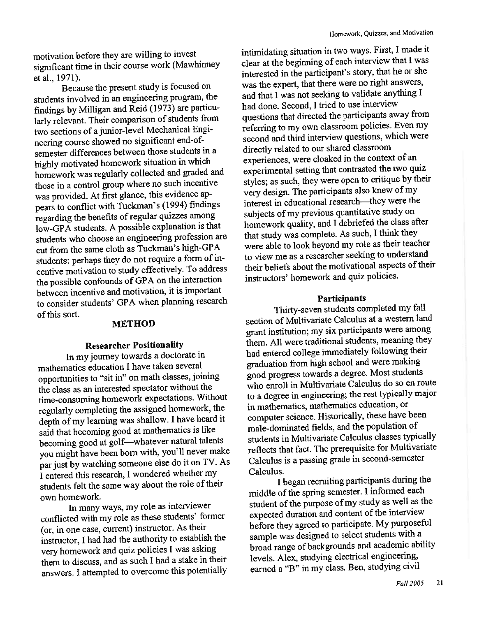Because the present study is focused on students involved in an engineering program, the findings by Milligan and Reid (1973) are particularly relevant. Their comparison of students from two sections of a junior-level Mechanical Engineering course showed no significant end-ofsemester differences between those students in a highly motivated homework situation in which homework was regularly collected and graded and those in a control group where no such incentive was provided. At first glance, this evidence appears to conflict with Tuckman's (1994) findings regarding the benefits of regular quizzes among low-GPA students. A possible explanation is that students who choose an engineering profession are cut from the same cloth as Tuckman's high-GPA students: perhaps they do not require a form of incentive motivation to study effectively. To address the possible confounds of GPA on the interaction between incentive and motivation, it is important to consider students' GPA when planning research of this sort.

### **METHOD**

### **Researcher Positionality**

In my journey towards a doctorate in mathematics education I have taken several opportunities to "sit in" on math classes, joining the class as an interested spectator without the time-consuming homework expectations. Without regularly completing the assigned homework, the depth of my learning was shallow. I have heard it said that becoming good at mathematics is like becoming good at golf-whatever natural talents you might have been born with, you'll never make par just by watching someone else do it on TV. As I entered this research, I wondered whether my students felt the same way about the role of their own homework.

In many ways, my role as interviewer conflicted with my role as these students' former (or, in one case, current) instructor. As their instructor, I had had the authority to establish the very homework and quiz policies I was asking them to discuss, and as such I had a stake in their answers. I attempted to overcome this potentially intimidating situation in two ways. First, I made it clear at the beginning of each interview that I was interested in the participant's story, that he or she was the expert, that there were no right answers, and that I was not seeking to validate anything I had done. Second, I tried to use interview questions that directed the participants away from referring to my own classroom policies. Even my second and third interview questions, which were directly related to our shared classroom experiences, were cloaked in the context of an experimental setting that contrasted the two quiz styles; as such, they were open to critique by their very design. The participants also knew of my interest in educational research—they were the subjects of my previous quantitative study on homework quality, and I debriefed the class after that study was complete. As such, I think they were able to look beyond my role as their teacher to view me as a researcher seeking to understand their beliefs about the motivational aspects of their instructors' homework and quiz policies.

#### Participants

Thirty-seven students completed my fall section of Multivariate Calculus at a western land grant institution; my six participants were among them. All were traditional students, meaning they had entered college immediately following their graduation from high school and were making good progress towards a degree. Most students who enroll in Multivariate Calculus do so en route to a degree in engineering; the rest typically major in mathematics, mathematics education, or computer science. Historically, these have been male-dominated fields, and the population of students in Multivariate Calculus classes typically reflects that fact. The prerequisite for Multivariate Calculus is a passing grade in second-semester Calculus.

I began recruiting participants during the middle of the spring semester. I informed each student of the purpose of my study as well as the expected duration and content of the interview before they agreed to participate. My purposeful sample was designed to select students with a broad range of backgrounds and academic ability levels. Alex, studying electrical engineering, earned a "B" in my class. Ben, studying civil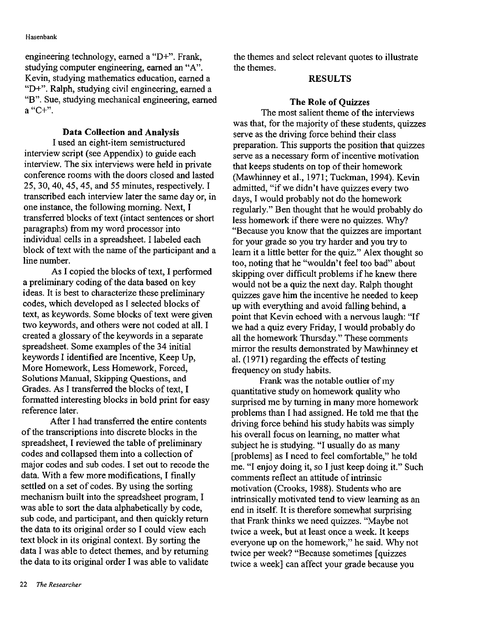engineering technology, earned a "D+". Frank, studying computer engineering, earned an "A". Kevin, studying mathematics education, earned a "D+". Ralph, studying civil engineering, earned a "B". Sue, studying mechanical engineering, earned  $a$  "C+".

### **Data Collection and Analysis**

I used an eight-item semistructured interview script (see Appendix) to guide each interview. The six interviews were held in private conference rooms with the doors closed and lasted 25, 30, 40, 45, 45, and 55 minutes, respectively. I transcribed each interview later the same day or, in one instance, the following morning. Next, I transferred blocks of text (intact sentences or short paragraphs) from my word processor into individual cells in a spreadsheet. I labeled each block of text with the name of the participant and a line number.

As I copied the blocks of text, I performed a preliminary coding of the data based on key ideas. It is best to characterize these preliminary codes, which developed as I selected blocks of text, as keywords. Some blocks of text were given two keywords, and others were not coded at all. I created a glossary of the keywords in a separate spreadsheet. Some examples of the 34 initial keywords I identified are Incentive, Keep Up, More Homework, Less Homework, Forced, Solutions Manual, Skipping Questions, and Grades. As I transferred the blocks of text, I formatted interesting blocks in bold print for easy reference later.

After I had transferred the entire contents of the transcriptions into discrete blocks in the spreadsheet, I reviewed the table of preliminary codes and collapsed them into a collection of major codes and sub codes. I set out to recode the data. With a few more modifications, I finally settled on a set of codes. By using the sorting mechanism built into the spreadsheet program, I was able to sort the data alphabetically by code, sub code, and participant, and then quickly return the data to its original order so I could view each text block in its original context. By sorting the data I was able to detect themes, and by returning the data to its original order I was able to validate

the themes and select relevant quotes to illustrate the themes.

#### **RESULTS**

## **The Role of Ouizzes**

The most salient theme of the interviews was that, for the majority of these students, quizzes serve as the driving force behind their class preparation. This supports the position that quizzes serve as a necessary form of incentive motivation that keeps students on top of their homework (Mawhinney et al., 1971; Tuckman, 1994). Kevin admitted, "if we didn't have quizzes every two days, I would probably not do the homework regularly." Ben thought that he would probably do less homework if there were no quizzes. Why? "Because you know that the quizzes are important for your grade so you try harder and you try to learn it a little better for the quiz." Alex thought so too, noting that he "wouldn't feel too bad" about skipping over difficult problems if he knew there would not be a quiz the next day. Ralph thought quizzes gave him the incentive he needed to keep up with everything and avoid falling behind, a point that Kevin echoed with a nervous laugh: "If we had a quiz every Friday, I would probably do all the homework Thursday." These comments mirror the results demonstrated by Mawhinney et al. (1971) regarding the effects of testing frequency on study habits.

Frank was the notable outlier of my quantitative study on homework quality who surprised me by turning in many more homework problems than I had assigned. He told me that the driving force behind his study habits was simply his overall focus on learning, no matter what subject he is studying. "I usually do as many [problems] as I need to feel comfortable," he told me. "I enjoy doing it, so I just keep doing it." Such comments reflect an attitude of intrinsic motivation (Crooks, 1988). Students who are intrinsically motivated tend to view learning as an end in itself. It is therefore somewhat surprising that Frank thinks we need quizzes. "Maybe not twice a week, but at least once a week. It keeps everyone up on the homework," he said. Why not twice per week? "Because sometimes [quizzes twice a week] can affect your grade because you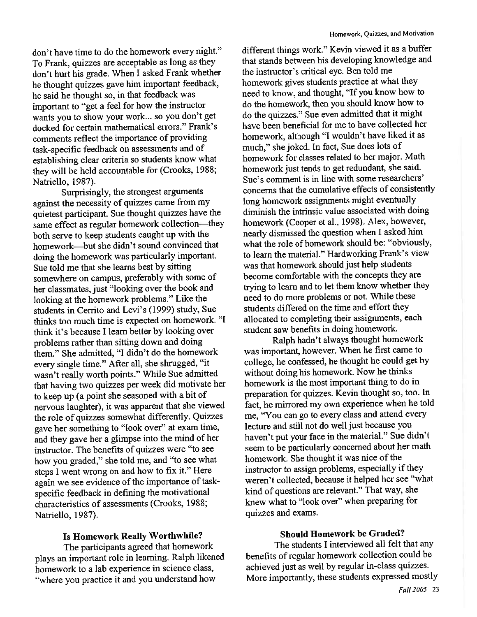don't have time to do the homework every night." To Frank, quizzes are acceptable as long as they don't hurt his grade. When I asked Frank whether he thought quizzes gave him important feedback, he said he thought so, in that feedback was important to "get a feel for how the instructor wants you to show your work... so you don't get docked for certain mathematical errors." Frank's comments reflect the importance of providing task-specific feedback on assessments and of establishing clear criteria so students know what they will be held accountable for (Crooks, 1988; Natriello, 1987).

Surprisingly, the strongest arguments against the necessity of quizzes came from my quietest participant. Sue thought quizzes have the same effect as regular homework collection—they both serve to keep students caught up with the homework—but she didn't sound convinced that doing the homework was particularly important. Sue told me that she learns best by sitting somewhere on campus, preferably with some of her classmates, just "looking over the book and looking at the homework problems." Like the students in Cerrito and Levi's (1999) study, Sue thinks too much time is expected on homework. "I think it's because I learn better by looking over problems rather than sitting down and doing them." She admitted, "I didn't do the homework every single time." After all, she shrugged, "it wasn't really worth points." While Sue admitted that having two quizzes per week did motivate her to keep up (a point she seasoned with a bit of nervous laughter), it was apparent that she viewed the role of quizzes somewhat differently. Quizzes gave her something to "look over" at exam time, and they gave her a glimpse into the mind of her instructor. The benefits of quizzes were "to see how you graded," she told me, and "to see what steps I went wrong on and how to fix it." Here again we see evidence of the importance of taskspecific feedback in defining the motivational characteristics of assessments (Crooks, 1988; Natriello, 1987).

## Is Homework Really Worthwhile?

The participants agreed that homework plays an important role in learning. Ralph likened homework to a lab experience in science class, "where you practice it and you understand how

different things work." Kevin viewed it as a buffer that stands between his developing knowledge and the instructor's critical eye. Ben told me homework gives students practice at what they need to know, and thought, "If you know how to do the homework, then you should know how to do the quizzes." Sue even admitted that it might have been beneficial for me to have collected her homework, although "I wouldn't have liked it as much," she joked. In fact, Sue does lots of homework for classes related to her major. Math homework just tends to get redundant, she said. Sue's comment is in line with some researchers' concerns that the cumulative effects of consistently long homework assignments might eventually diminish the intrinsic value associated with doing homework (Cooper et al., 1998). Alex, however, nearly dismissed the question when I asked him what the role of homework should be: "obviously, to learn the material." Hardworking Frank's view was that homework should just help students become comfortable with the concepts they are trying to learn and to let them know whether they need to do more problems or not. While these students differed on the time and effort they allocated to completing their assignments, each student saw benefits in doing homework.

Ralph hadn't always thought homework was important, however. When he first came to college, he confessed, he thought he could get by without doing his homework. Now he thinks homework is the most important thing to do in preparation for quizzes. Kevin thought so, too. In fact, he mirrored my own experience when he told me, "You can go to every class and attend every lecture and still not do well just because you haven't put your face in the material." Sue didn't seem to be particularly concerned about her math homework. She thought it was nice of the instructor to assign problems, especially if they weren't collected, because it helped her see "what kind of questions are relevant." That way, she knew what to "look over" when preparing for quizzes and exams.

#### **Should Homework be Graded?**

The students I interviewed all felt that any benefits of regular homework collection could be achieved just as well by regular in-class quizzes. More importantly, these students expressed mostly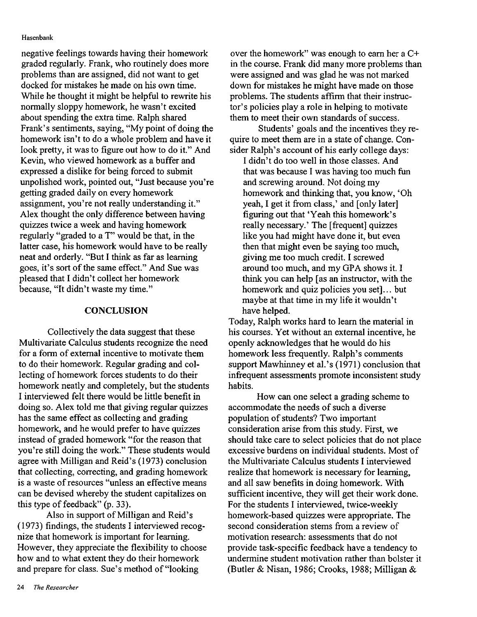negative feelings towards having their homework graded regularly. Frank, who routinely does more problems than are assigned, did not want to get docked for mistakes he made on his own time. While he thought it might be helpful to rewrite his normally sloppy homework, he wasn't excited about spending the extra time. Ralph shared Frank's sentiments, saying, "My point of doing the homework isn't to do a whole problem and have it look pretty, it was to figure out how to do it." And Kevin, who viewed homework as a buffer and expressed a dislike for being forced to submit unpolished work, pointed out, "Just because you're getting graded daily on every homework assignment, you're not really understanding it." Alex thought the only difference between having quizzes twice a week and having homework regularly "graded to a T" would be that, in the latter case, his homework would have to be really neat and orderly. "But I think as far as learning goes, it's sort of the same effect." And Sue was pleased that I didn't collect her homework because, "It didn't waste my time."

#### **CONCLUSION**

Collectively the data suggest that these Multivariate Calculus students recognize the need for a form of external incentive to motivate them to do their homework. Regular grading and collecting of homework forces students to do their homework neatly and completely, but the students I interviewed felt there would be little benefit in doing so. Alex told me that giving regular quizzes has the same effect as collecting and grading homework, and he would prefer to have quizzes instead of graded homework "for the reason that you're still doing the work." These students would agree with Milligan and Reid's (1973) conclusion that collecting, correcting, and grading homework is a waste of resources "unless an effective means can be devised whereby the student capitalizes on this type of feedback" (p. 33).

Also in support of Milligan and Reid's (1973) findings, the students I interviewed recognize that homework is important for learning. However, they appreciate the flexibility to choose how and to what extent they do their homework and prepare for class. Sue's method of "looking

Students' goals and the incentives they require to meet them are in a state of change. Consider Ralph's account of his early college days:

I didn't do too well in those classes. And that was because I was having too much fun and screwing around. Not doing my homework and thinking that, you know, 'Oh yeah, I get it from class,' and [only later] figuring out that 'Yeah this homework's really necessary.' The [frequent] quizzes like you had might have done it, but even then that might even be saying too much, giving me too much credit. I screwed around too much, and my GPA shows it. I think you can help [as an instructor, with the homework and quiz policies you set]... but maybe at that time in my life it wouldn't have helped.

Today, Ralph works hard to learn the material in his courses. Yet without an external incentive, he openly acknowledges that he would do his homework less frequently. Ralph's comments support Mawhinney et al.'s (1971) conclusion that infrequent assessments promote inconsistent study habits.

How can one select a grading scheme to accommodate the needs of such a diverse population of students? Two important consideration arise from this study. First, we should take care to select policies that do not place excessive burdens on individual students. Most of the Multivariate Calculus students I interviewed realize that homework is necessary for learning. and all saw benefits in doing homework. With sufficient incentive, they will get their work done. For the students I interviewed, twice-weekly homework-based quizzes were appropriate. The second consideration stems from a review of motivation research: assessments that do not provide task-specific feedback have a tendency to undermine student motivation rather than bolster it (Butler & Nisan, 1986; Crooks, 1988; Milligan &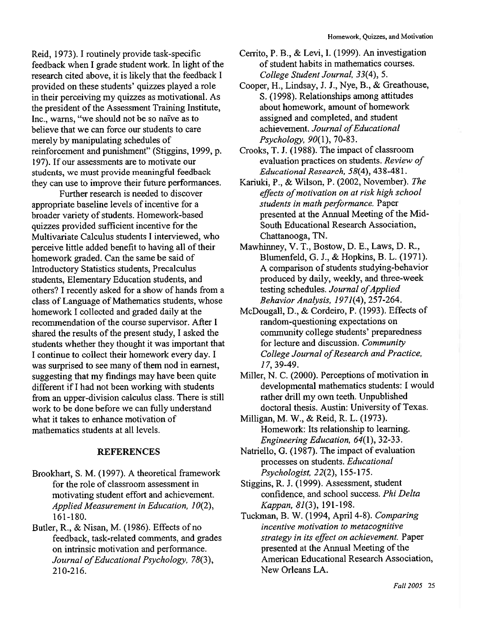Reid, 1973). I routinely provide task-specific feedback when I grade student work. In light of the research cited above, it is likely that the feedback I provided on these students' quizzes played a role in their perceiving my quizzes as motivational. As the president of the Assessment Training Institute, Inc., warns, "we should not be so naïve as to believe that we can force our students to care merely by manipulating schedules of reinforcement and punishment" (Stiggins, 1999, p. 197). If our assessments are to motivate our students, we must provide meaningful feedback they can use to improve their future performances.

Further research is needed to discover appropriate baseline levels of incentive for a broader variety of students. Homework-based quizzes provided sufficient incentive for the Multivariate Calculus students I interviewed, who perceive little added benefit to having all of their homework graded. Can the same be said of Introductory Statistics students, Precalculus students. Elementary Education students, and others? I recently asked for a show of hands from a class of Language of Mathematics students, whose homework I collected and graded daily at the recommendation of the course supervisor. After I shared the results of the present study, I asked the students whether they thought it was important that I continue to collect their homework every day. I was surprised to see many of them nod in earnest, suggesting that my findings may have been quite different if I had not been working with students from an upper-division calculus class. There is still work to be done before we can fully understand what it takes to enhance motivation of mathematics students at all levels.

### **REFERENCES**

- Brookhart, S. M. (1997). A theoretical framework for the role of classroom assessment in motivating student effort and achievement. Applied Measurement in Education, 10(2), 161-180.
- Butler, R., & Nisan, M. (1986). Effects of no feedback, task-related comments, and grades on intrinsic motivation and performance. Journal of Educational Psychology, 78(3), 210-216.
- Cerrito, P. B., & Levi, I. (1999). An investigation of student habits in mathematics courses. College Student Journal, 33(4), 5.
- Cooper, H., Lindsay, J. J., Nye, B., & Greathouse, S. (1998). Relationships among attitudes about homework, amount of homework assigned and completed, and student achievement. Journal of Educational Psychology, 90(1), 70-83.
- Crooks, T. J. (1988). The impact of classroom evaluation practices on students. Review of Educational Research, 58(4), 438-481.
- Kariuki, P., & Wilson, P. (2002, November). The effects of motivation on at risk high school students in math performance. Paper presented at the Annual Meeting of the Mid-South Educational Research Association, Chattanooga, TN.
- Mawhinney, V. T., Bostow, D. E., Laws, D. R., Blumenfeld, G. J., & Hopkins, B. L. (1971). A comparison of students studying-behavior produced by daily, weekly, and three-week testing schedules. Journal of Applied Behavior Analysis, 1971(4), 257-264.
- McDougall, D., & Cordeiro, P. (1993). Effects of random-questioning expectations on community college students' preparedness for lecture and discussion. Community College Journal of Research and Practice, 17, 39-49.
- Miller, N. C. (2000). Perceptions of motivation in developmental mathematics students: I would rather drill my own teeth. Unpublished doctoral thesis. Austin: University of Texas.
- Milligan, M. W., & Reid, R. L. (1973). Homework: Its relationship to learning. Engineering Education, 64(1), 32-33.
- Natriello, G. (1987). The impact of evaluation processes on students. Educational Psychologist, 22(2), 155-175.
- Stiggins, R. J. (1999). Assessment, student confidence, and school success. Phi Delta Kappan, 81(3), 191-198.
- Tuckman, B. W. (1994, April 4-8). Comparing incentive motivation to metacognitive strategy in its effect on achievement. Paper presented at the Annual Meeting of the American Educational Research Association, New Orleans LA.